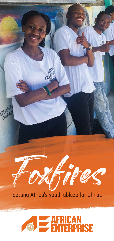

**ATL-CE** 

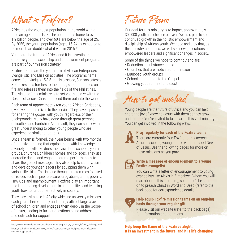# What is Foxfires?

Africa has the youngest population in the world with a median age of just 19.7. The continent is home to over 1.2 billion people, and over 60% are below the age of 25. By 2055, the youth population (aged 15-24) is expected to be more than double what it was in 2015 $\star$ 

Youth are the future of Africa, and it is essential that effective youth discipleship and empowerment programs are part of our mission strategy.

Foxfire Teams are the youth arm of African Enterprise's Evangelistic and Mission activities. The program's name comes from Judges 15:3-5. In this passage, Samson catches 300 foxes, ties torches to their tails, sets the torches on fire and releases them into the fields of the Philistines The vision of this ministry is to set youth ablaze with the Gospel of Jesus Christ and send them out into the world.

Each team of approximately ten young African Christians, give a year of their lives to the service. They have a passion for sharing the gospel with youth, regardless of their backgrounds. Many have gone through great personal difficulties and hardship. As a result, they can speak with great understanding to other young people who are experiencing similar situations.

Once a team is formed, their year begins with two months of intensive training that equips them with knowledge and a variety of skills. Foxfires then visit local schools, youth groups, churches, children's homes and colleges. They use energetic dance and engaging drama performances to share the gospel message. They also help to identify, train and develop younger leaders by equipping them with various life skills. This is done through programmes focused on issues such as peer pressure, drug abuse, crime, poverty, HIV/Aids and unemployment. Foxfires play an important role in promoting development in communities and teaching youth how to function effectively in society.

They play a vital role in AE city-wide and university missions each year. Their vibrancy and energy attract large crowds of school children and engages them deeply in the Gospel of Jesus, leading to further questions being addressed, and outreach for support.

http://www.africa.undp.org/content/rba/en/home/blog/2017/8/7/africa\_defining\_challenge.html https://mo.ibrahim.foundation/news/2017/africas-growing-youthful-population-reflectionscontinent-tipping-point

Future Plans

Our goal for this ministry is to impact approximately 300,000 youth and children per year. We also plan to see continued growth in the holistic empowerment and discipleship of African youth. We hope and pray that, as this ministry continues, we will see new generations of empowered leaders and significant changes in society.

Some of the things we hope to contribute to are:

- Reduction in substance abuse
- Churches that are motivated for mission
- Equipped youth groups
- Schools more open to the Gospel
- Growing youth on fire for Jesus!

How to get involved

Young people are the future of Africa and you can help share the joy of knowing Jesus with them as they grow and mature. You're invited to take part in this vital ministry. You can get involved in the following ways:



## **Pray regularly for each of the Foxfire teams.**

There are currently four Foxfire teams across Africa discipling young people with the Good News of Jesus. See the following pages for more on these missions as you pray.



### **Write a message of encouragement to a young Foxfire evangelist.**

You can write a letter of encouragement to young evangelists like Alexis in Zimbabwe (whom you will read about in this brochure), so that he'll be spurred on to preach Christ in Word and Deed (refer to the back page for correspondence details).



## **Help equip Foxfire mission teams on an ongoing basis through your regular gift.**

Please visit our website (refer to the back page) for information and donations.

**Help keep the flame of the Foxfires alight. It is an investment in the future, and it is life changing!**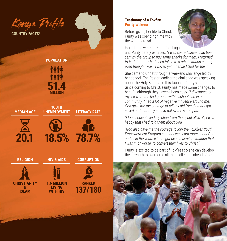Kenya Profile

**COUNTRY FACTS#**

## **POPULATION**



**YOUTH** 

## **MEDIAN AGE**







**UNEMPLOYMENT LITERACY RATE**

**HIV & AIDS CORRUPTION**

#### **RELIGION**







## **Testimony of a Foxfire Purity Wakena**

Before giving her life to Christ, Purity was spending time with the wrong crowd.



Her friends were arrested for drugs,

and Purity barely escaped. *"I was spared since I had been sent by the group to buy some snacks for them. I returned*  to find that they had been taken to a rehabilitation centre, *even though I wasn't saved yet I thanked God for this."* 

She came to Christ through a weekend challenge led by her school. The Pastor leading the challenge was speaking about the Holy Spirit, and this touched Purity's heart. Since coming to Christ, Purity has made some changes to her life, although they haven't been easy. *"I disconnected myself from the bad groups within school and in our community. I had a lot of negative influence around me. God gave me the courage to tell my old friends that I got saved and that they should follow the same path.* 

*"I faced ridicule and rejection from them, but all in all, I was happy that I had told them about God.*

"God also gave me the courage to join the Foxrfires Youth *Empowerment Program so that I can learn more about God and help the youth who might be in a similar situation that I was in or worse, to convert their lives to Christ."* 

Purity is excited to be part of Foxfires so she can develop the strength to overcome all the challenges ahead of her.

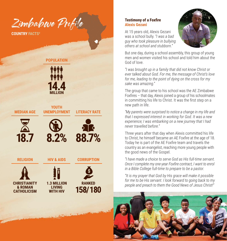

**COUNTRY FACTS** 

## **POPULATION**



**YOUTH** 

**UNEMPLOYMENT LITERACY RATE**

**HIV & AIDS CORRUPTION**

## **MEDIAN AGE**







#### **RELIGION**



**1.3 MILLION LIVING WITH HIV**



## **Alexis Gezani**

At 15 years old, Alexis Gezani was a school bully. *"I was a bad guy who took pleasure in bullying others at school and stubborn."* 



But one day, during a school assembly, this group of young men and women visited his school and told him about the God of love.

*"I was brought up in a family that did not know Christ or ever talked about God. For me, the message of Christ's love for me, leading to the point of dying on the cross for my sake was amazing."* 

The group that came to his school was the AE Zimbabwe Foxfires – that day, Alexis joined a group of his schoolmates in committing his life to Christ. It was the first step on a new path in life.

*"My parents were surprised to notice a change in my life and that I expressed interest in working for God. It was a new experience; I was embarking on a new journey that I had never travelled before."* 

Three years after that day when Alexis committed his life to Christ, he himself became an AE Foxfire at the age of 18. Today he is part of the AE Foxfire team and travels the country as an evangelist, reaching more young people with the good news of the Gospel.

*"I have made a choice to serve God as His full-time servant.*  **Once I complete my one-year Foxfire contract, I want to enrol** *in a Bible College full-time to prepare to be a pastor.*

*"It is my prayer that God by His grace will make it possible for me to be His servant. I look forward to going back to my people and preach to them the Good News of Jesus Christ!"*

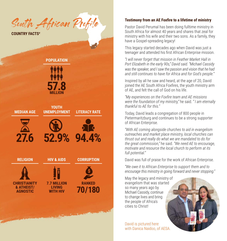South African Profile

**COUNTRY FACTS#**

## **POPULATION 57.8 MILLION YOUTH MEDIAN AGE UNEMPLOYMENT LITERACY RATE 27.6 52.9% 94.4% RELIGION HIV & AIDS CORRUPTION RANKED CHRISTIANITY 7.7 MILLION & ATHEIST/ LIVING 70/180 AGNOSTIC WITH HIV** التي المستحقق المستحقق المستحقق المستحقق المستحقة المستحقة المستحقة المستحقة المستحقة المستحقة المستخدمة المستخدمة

## **Testimony from an AE Foxfire to a lifetime of ministry**

Pastor David Perumal has been doing fulltime ministry in South Africa for almost 40 years and shares that zeal for ministry with his wife and their two sons. As a family, they have a Gospel-spreading legacy!

This legacy started decades ago when David was just a teenager and attended his first African Enterprise mission.

*"I will never forget that mission in Feather Market Hall in Port Elizabeth in the early 90s," David said. "Michael Cassidy was the speaker, and I saw the passion and vision that he had and still continues to have for Africa and for God's people."*

Inspired by all he saw and heard, at the age of 20, David joined the AE South Africa Foxfires, the youth ministry arm of AE, and felt the call of God on his life.

*"My experiences on the Foxfi re team and AE missions were the foundation of my ministry,"* he said. *" I am eternally thankful to AE for this."*

Today, David leads a congregation of 800 people in Pietermaritzburg and continues to be a strong supporter of African Enterprise.

*"With AE coming alongside churches to aid in evangelism outreaches and market place ministry, local churches can thrust out and really do what we are mandated to do for the great commission,"* he said. *"We need AE to encourage, motivate and resource the local church to perform at its full potential."*

David was full of praise for the work of African Enterprise.

*"We owe it to African Enterprise to support them and to encourage this ministry in going forward and never stopping."*

May the legacy and ministry of evangelism that was started so many years ago by Michael Cassidy, continue to change lives and bring the people of Africa's cities to Christ!

David is pictured here with Danica Naidoo, of AESA.

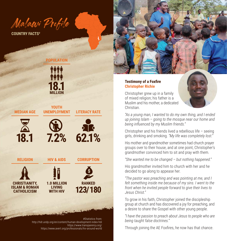Malawi Profile

**COUNTRY FACTS#**

## **POPULATION**



**YOUTH** 

## **MEDIAN AGE**







**UNEMPLOYMENT LITERACY RATE**

**RELIGION**

**CHRISTIANITY, ISLAM & ROMAN CATHOLICISM**

**1.0 MILLION LIVING WITH HIV**

**HIV & AIDS CORRUPTION**



#Statistics from: http://hdr.undp.org/en/content/human-development-index-hdi https://www.transparency.org/ https://www.avert.org/professionals/hiv-around-world

### **Testimony of a Foxfire Christopher Richie**

Christopher grew up in a family of mixed religion; his father is a Muslim and his mother, a dedicated Christian.



*"As a young man, I wanted to do my own thing, and I ended up joining Islam – going to the mosque near our home and being infl uenced by my Muslim friends."* 

Christopher and his friends lived a rebellious life – seeing girls, drinking and smoking. *"My life was completely lost."* 

His mother and grandmother sometimes had church prayer groups over to their house, and at one point, Christopher's grandmother convinced him to sit and pray with them.

*"She wanted me to be changed – but nothing happened."* 

His grandmother invited him to church with her and he decided to go along to appease her.

*"The pastor was preaching and was pointing at me, and I felt something inside me because of my sins. I went to the front when he invited people forward to give their lives to Jesus Christ."* 

To grow in his faith, Christopher joined the discipleship group at church and has discovered a joy for preaching, and a desire to share the Gospel with other young people.

*"I have the passion to preach about Jesus to people who are being taught false doctrines."* 

Through joining the AE Foxfires, he now has that chance.